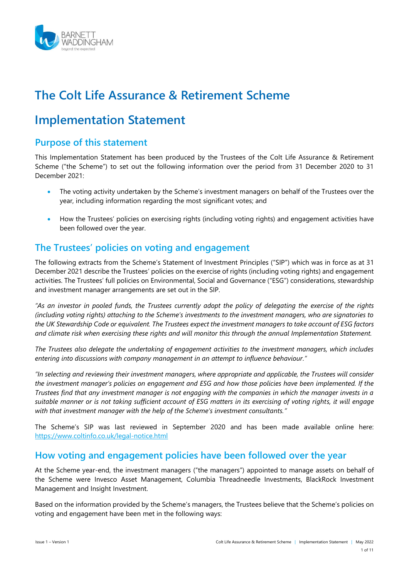

# **The Colt Life Assurance & Retirement Scheme**

# **Implementation Statement**

# **Purpose of this statement**

This Implementation Statement has been produced by the Trustees of the Colt Life Assurance & Retirement Scheme ("the Scheme") to set out the following information over the period from 31 December 2020 to 31 December 2021:

- The voting activity undertaken by the Scheme's investment managers on behalf of the Trustees over the year, including information regarding the most significant votes; and
- How the Trustees' policies on exercising rights (including voting rights) and engagement activities have been followed over the year.

# **The Trustees' policies on voting and engagement**

The following extracts from the Scheme's Statement of Investment Principles ("SIP") which was in force as at 31 December 2021 describe the Trustees' policies on the exercise of rights (including voting rights) and engagement activities. The Trustees' full policies on Environmental, Social and Governance ("ESG") considerations, stewardship and investment manager arrangements are set out in the SIP.

*"As an investor in pooled funds, the Trustees currently adopt the policy of delegating the exercise of the rights (including voting rights) attaching to the Scheme's investments to the investment managers, who are signatories to the UK Stewardship Code or equivalent. The Trustees expect the investment managers to take account of ESG factors and climate risk when exercising these rights and will monitor this through the annual Implementation Statement.*

*The Trustees also delegate the undertaking of engagement activities to the investment managers, which includes entering into discussions with company management in an attempt to influence behaviour."*

*"In selecting and reviewing their investment managers, where appropriate and applicable, the Trustees will consider the investment manager's policies on engagement and ESG and how those policies have been implemented. If the Trustees find that any investment manager is not engaging with the companies in which the manager invests in a suitable manner or is not taking sufficient account of ESG matters in its exercising of voting rights, it will engage with that investment manager with the help of the Scheme's investment consultants."*

The Scheme's SIP was last reviewed in September 2020 and has been made available online here: <https://www.coltinfo.co.uk/legal-notice.html>

# **How voting and engagement policies have been followed over the year**

At the Scheme year-end, the investment managers ("the managers") appointed to manage assets on behalf of the Scheme were Invesco Asset Management, Columbia Threadneedle Investments, BlackRock Investment Management and Insight Investment.

Based on the information provided by the Scheme's managers, the Trustees believe that the Scheme's policies on voting and engagement have been met in the following ways: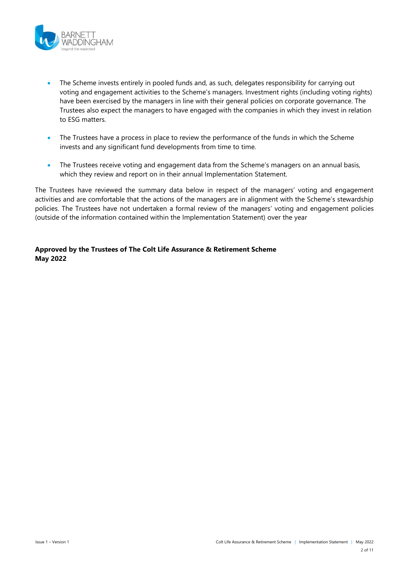

- The Scheme invests entirely in pooled funds and, as such, delegates responsibility for carrying out voting and engagement activities to the Scheme's managers. Investment rights (including voting rights) have been exercised by the managers in line with their general policies on corporate governance. The Trustees also expect the managers to have engaged with the companies in which they invest in relation to ESG matters.
- The Trustees have a process in place to review the performance of the funds in which the Scheme invests and any significant fund developments from time to time.
- The Trustees receive voting and engagement data from the Scheme's managers on an annual basis, which they review and report on in their annual Implementation Statement.

The Trustees have reviewed the summary data below in respect of the managers' voting and engagement activities and are comfortable that the actions of the managers are in alignment with the Scheme's stewardship policies. The Trustees have not undertaken a formal review of the managers' voting and engagement policies (outside of the information contained within the Implementation Statement) over the year

#### **Approved by the Trustees of The Colt Life Assurance & Retirement Scheme May 2022**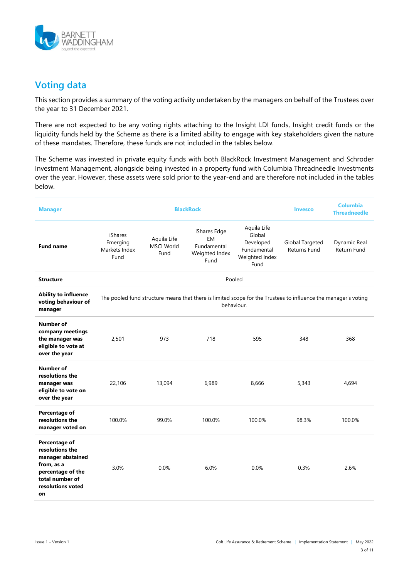

# **Voting data**

This section provides a summary of the voting activity undertaken by the managers on behalf of the Trustees over the year to 31 December 2021.

There are not expected to be any voting rights attaching to the Insight LDI funds, Insight credit funds or the liquidity funds held by the Scheme as there is a limited ability to engage with key stakeholders given the nature of these mandates. Therefore, these funds are not included in the tables below.

The Scheme was invested in private equity funds with both BlackRock Investment Management and Schroder Investment Management, alongside being invested in a property fund with Columbia Threadneedle Investments over the year. However, these assets were sold prior to the year-end and are therefore not included in the tables below.

| <b>Manager</b>                                                                                                                         | <b>BlackRock</b>                             |                                          |                                                                                                                              |                                                                             | <b>Invesco</b>                  | <b>Columbia</b><br><b>Threadneedle</b> |
|----------------------------------------------------------------------------------------------------------------------------------------|----------------------------------------------|------------------------------------------|------------------------------------------------------------------------------------------------------------------------------|-----------------------------------------------------------------------------|---------------------------------|----------------------------------------|
| <b>Fund name</b>                                                                                                                       | iShares<br>Emerging<br>Markets Index<br>Fund | Aquila Life<br><b>MSCI World</b><br>Fund | iShares Edge<br>EM<br>Fundamental<br>Weighted Index<br>Fund                                                                  | Aquila Life<br>Global<br>Developed<br>Fundamental<br>Weighted Index<br>Fund | Global Targeted<br>Returns Fund | Dynamic Real<br>Return Fund            |
| <b>Structure</b>                                                                                                                       |                                              |                                          | Pooled                                                                                                                       |                                                                             |                                 |                                        |
| <b>Ability to influence</b><br>voting behaviour of<br>manager                                                                          |                                              |                                          | The pooled fund structure means that there is limited scope for the Trustees to influence the manager's voting<br>behaviour. |                                                                             |                                 |                                        |
| Number of<br>company meetings<br>the manager was<br>eligible to vote at<br>over the year                                               | 2,501                                        | 973                                      | 718                                                                                                                          | 595                                                                         | 348                             | 368                                    |
| Number of<br>resolutions the<br>manager was<br>eligible to vote on<br>over the year                                                    | 22,106                                       | 13,094                                   | 6,989                                                                                                                        | 8,666                                                                       | 5,343                           | 4,694                                  |
| Percentage of<br>resolutions the<br>manager voted on                                                                                   | 100.0%                                       | 99.0%                                    | 100.0%                                                                                                                       | 100.0%                                                                      | 98.3%                           | 100.0%                                 |
| Percentage of<br>resolutions the<br>manager abstained<br>from, as a<br>percentage of the<br>total number of<br>resolutions voted<br>on | 3.0%                                         | 0.0%                                     | 6.0%                                                                                                                         | 0.0%                                                                        | 0.3%                            | 2.6%                                   |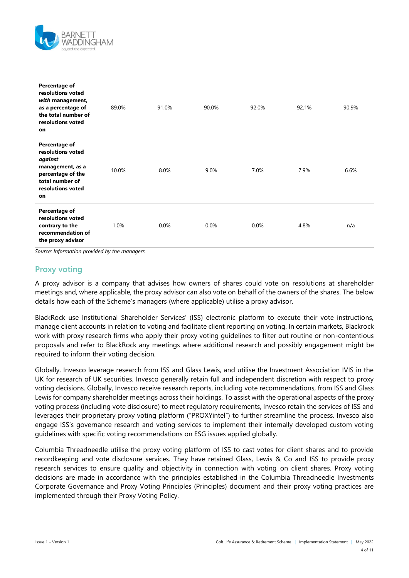

| Percentage of<br>resolutions voted<br>with management,<br>as a percentage of<br>the total number of<br>resolutions voted<br>on       | 89.0% | 91.0% | 90.0% | 92.0% | 92.1% | 90.9% |
|--------------------------------------------------------------------------------------------------------------------------------------|-------|-------|-------|-------|-------|-------|
| Percentage of<br>resolutions voted<br>against<br>management, as a<br>percentage of the<br>total number of<br>resolutions voted<br>on | 10.0% | 8.0%  | 9.0%  | 7.0%  | 7.9%  | 6.6%  |
| Percentage of<br>resolutions voted<br>contrary to the<br>recommendation of<br>the proxy advisor                                      | 1.0%  | 0.0%  | 0.0%  | 0.0%  | 4.8%  | n/a   |

*Source: Information provided by the managers.*

## **Proxy voting**

A proxy advisor is a company that advises how owners of shares could vote on resolutions at shareholder meetings and, where applicable, the proxy advisor can also vote on behalf of the owners of the shares. The below details how each of the Scheme's managers (where applicable) utilise a proxy advisor.

BlackRock use Institutional Shareholder Services' (ISS) electronic platform to execute their vote instructions, manage client accounts in relation to voting and facilitate client reporting on voting. In certain markets, Blackrock work with proxy research firms who apply their proxy voting guidelines to filter out routine or non-contentious proposals and refer to BlackRock any meetings where additional research and possibly engagement might be required to inform their voting decision.

Globally, Invesco leverage research from ISS and Glass Lewis, and utilise the Investment Association IVIS in the UK for research of UK securities. Invesco generally retain full and independent discretion with respect to proxy voting decisions. Globally, Invesco receive research reports, including vote recommendations, from ISS and Glass Lewis for company shareholder meetings across their holdings. To assist with the operational aspects of the proxy voting process (including vote disclosure) to meet regulatory requirements, Invesco retain the services of ISS and leverages their proprietary proxy voting platform ("PROXYintel") to further streamline the process. Invesco also engage ISS's governance research and voting services to implement their internally developed custom voting guidelines with specific voting recommendations on ESG issues applied globally.

Columbia Threadneedle utilise the proxy voting platform of ISS to cast votes for client shares and to provide recordkeeping and vote disclosure services. They have retained Glass, Lewis & Co and ISS to provide proxy research services to ensure quality and objectivity in connection with voting on client shares. Proxy voting decisions are made in accordance with the principles established in the Columbia Threadneedle Investments Corporate Governance and Proxy Voting Principles (Principles) document and their proxy voting practices are implemented through their Proxy Voting Policy.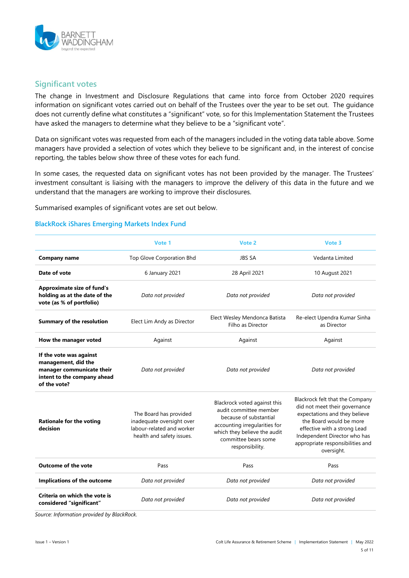

### **Significant votes**

The change in Investment and Disclosure Regulations that came into force from October 2020 requires information on significant votes carried out on behalf of the Trustees over the year to be set out. The guidance does not currently define what constitutes a "significant" vote, so for this Implementation Statement the Trustees have asked the managers to determine what they believe to be a "significant vote".

Data on significant votes was requested from each of the managers included in the voting data table above. Some managers have provided a selection of votes which they believe to be significant and, in the interest of concise reporting, the tables below show three of these votes for each fund.

In some cases, the requested data on significant votes has not been provided by the manager. The Trustees' investment consultant is liaising with the managers to improve the delivery of this data in the future and we understand that the managers are working to improve their disclosures.

Summarised examples of significant votes are set out below.

#### **BlackRock iShares Emerging Markets Index Fund**

|                                                                                                                            | Vote 1                                                                                                        | Vote 2                                                                                                                                                                                       | Vote 3                                                                                                                                                                                                                                         |
|----------------------------------------------------------------------------------------------------------------------------|---------------------------------------------------------------------------------------------------------------|----------------------------------------------------------------------------------------------------------------------------------------------------------------------------------------------|------------------------------------------------------------------------------------------------------------------------------------------------------------------------------------------------------------------------------------------------|
| <b>Company name</b>                                                                                                        | Top Glove Corporation Bhd                                                                                     | <b>JBS SA</b>                                                                                                                                                                                | Vedanta Limited                                                                                                                                                                                                                                |
| Date of vote                                                                                                               | 6 January 2021                                                                                                | 28 April 2021                                                                                                                                                                                | 10 August 2021                                                                                                                                                                                                                                 |
| <b>Approximate size of fund's</b><br>holding as at the date of the<br>vote (as % of portfolio)                             | Data not provided                                                                                             | Data not provided                                                                                                                                                                            | Data not provided                                                                                                                                                                                                                              |
| <b>Summary of the resolution</b>                                                                                           | Elect Lim Andy as Director                                                                                    | Elect Wesley Mendonca Batista<br>Filho as Director                                                                                                                                           | Re-elect Upendra Kumar Sinha<br>as Director                                                                                                                                                                                                    |
| How the manager voted                                                                                                      | Against                                                                                                       | Against                                                                                                                                                                                      | Against                                                                                                                                                                                                                                        |
| If the vote was against<br>management, did the<br>manager communicate their<br>intent to the company ahead<br>of the vote? | Data not provided                                                                                             | Data not provided                                                                                                                                                                            | Data not provided                                                                                                                                                                                                                              |
| <b>Rationale for the voting</b><br>decision                                                                                | The Board has provided<br>inadequate oversight over<br>labour-related and worker<br>health and safety issues. | Blackrock voted against this<br>audit committee member<br>because of substantial<br>accounting irregularities for<br>which they believe the audit<br>committee bears some<br>responsibility. | Blackrock felt that the Company<br>did not meet their governance<br>expectations and they believe<br>the Board would be more<br>effective with a strong Lead<br>Independent Director who has<br>appropriate responsibilities and<br>oversight. |
| <b>Outcome of the vote</b>                                                                                                 | Pass                                                                                                          | Pass                                                                                                                                                                                         | Pass                                                                                                                                                                                                                                           |
| Implications of the outcome                                                                                                | Data not provided                                                                                             | Data not provided                                                                                                                                                                            | Data not provided                                                                                                                                                                                                                              |
| Criteria on which the vote is<br>considered "significant"                                                                  | Data not provided                                                                                             | Data not provided                                                                                                                                                                            | Data not provided                                                                                                                                                                                                                              |

*Source: Information provided by BlackRock.*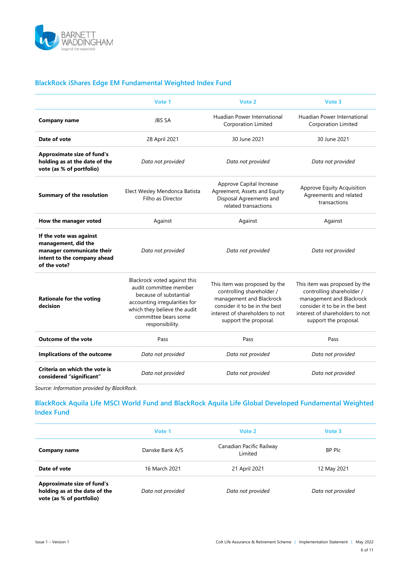

### **BlackRock iShares Edge EM Fundamental Weighted Index Fund**

|                                                                                                                            | Vote 1                                                                                                                                                                                       | Vote 2                                                                                                                                                                              | Vote 3                                                                                                                                                                              |
|----------------------------------------------------------------------------------------------------------------------------|----------------------------------------------------------------------------------------------------------------------------------------------------------------------------------------------|-------------------------------------------------------------------------------------------------------------------------------------------------------------------------------------|-------------------------------------------------------------------------------------------------------------------------------------------------------------------------------------|
| <b>Company name</b>                                                                                                        | <b>JBS SA</b>                                                                                                                                                                                | Huadian Power International<br><b>Corporation Limited</b>                                                                                                                           | Huadian Power International<br><b>Corporation Limited</b>                                                                                                                           |
| Date of vote                                                                                                               | 28 April 2021                                                                                                                                                                                | 30 June 2021                                                                                                                                                                        | 30 June 2021                                                                                                                                                                        |
| <b>Approximate size of fund's</b><br>holding as at the date of the<br>vote (as % of portfolio)                             | Data not provided                                                                                                                                                                            | Data not provided                                                                                                                                                                   | Data not provided                                                                                                                                                                   |
| <b>Summary of the resolution</b>                                                                                           | Elect Wesley Mendonca Batista<br>Filho as Director                                                                                                                                           | Approve Capital Increase<br>Agreement, Assets and Equity<br>Disposal Agreements and<br>related transactions                                                                         | Approve Equity Acquisition<br>Agreements and related<br>transactions                                                                                                                |
| How the manager voted                                                                                                      | Against                                                                                                                                                                                      | Against                                                                                                                                                                             | Against                                                                                                                                                                             |
| If the vote was against<br>management, did the<br>manager communicate their<br>intent to the company ahead<br>of the vote? | Data not provided                                                                                                                                                                            | Data not provided                                                                                                                                                                   | Data not provided                                                                                                                                                                   |
| <b>Rationale for the voting</b><br>decision                                                                                | Blackrock voted against this<br>audit committee member<br>because of substantial<br>accounting irregularities for<br>which they believe the audit<br>committee bears some<br>responsibility. | This item was proposed by the<br>controlling shareholder /<br>management and Blackrock<br>consider it to be in the best<br>interest of shareholders to not<br>support the proposal. | This item was proposed by the<br>controlling shareholder /<br>management and Blackrock<br>consider it to be in the best<br>interest of shareholders to not<br>support the proposal. |
| <b>Outcome of the vote</b>                                                                                                 | Pass                                                                                                                                                                                         | Pass                                                                                                                                                                                | Pass                                                                                                                                                                                |
| Implications of the outcome                                                                                                | Data not provided                                                                                                                                                                            | Data not provided                                                                                                                                                                   | Data not provided                                                                                                                                                                   |
| Criteria on which the vote is<br>considered "significant"                                                                  | Data not provided                                                                                                                                                                            | Data not provided                                                                                                                                                                   | Data not provided                                                                                                                                                                   |

*Source: Information provided by BlackRock.*

### **BlackRock Aquila Life MSCI World Fund and BlackRock Aquila Life Global Developed Fundamental Weighted Index Fund**

|                                                                                                | Vote 1            | Vote 2                              | Vote 3            |
|------------------------------------------------------------------------------------------------|-------------------|-------------------------------------|-------------------|
| Company name                                                                                   | Danske Bank A/S   | Canadian Pacific Railway<br>Limited | BP Plc            |
| Date of vote                                                                                   | 16 March 2021     | 21 April 2021                       | 12 May 2021       |
| <b>Approximate size of fund's</b><br>holding as at the date of the<br>vote (as % of portfolio) | Data not provided | Data not provided                   | Data not provided |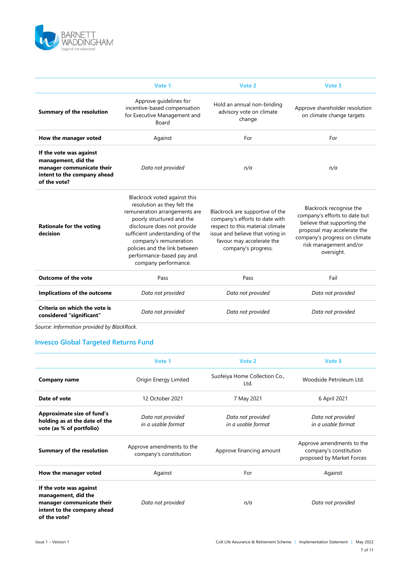

|                                                                                                                            | Vote 1                                                                                                                                                                                                                                                                                                      | Vote 2                                                                                                                                                                                        | Vote 3                                                                                                                                                                                          |  |
|----------------------------------------------------------------------------------------------------------------------------|-------------------------------------------------------------------------------------------------------------------------------------------------------------------------------------------------------------------------------------------------------------------------------------------------------------|-----------------------------------------------------------------------------------------------------------------------------------------------------------------------------------------------|-------------------------------------------------------------------------------------------------------------------------------------------------------------------------------------------------|--|
| <b>Summary of the resolution</b>                                                                                           | Approve guidelines for<br>incentive-based compensation<br>for Executive Management and<br>Board                                                                                                                                                                                                             | Hold an annual non-binding<br>advisory vote on climate<br>change                                                                                                                              | Approve shareholder resolution<br>on climate change targets                                                                                                                                     |  |
| How the manager voted                                                                                                      | Against                                                                                                                                                                                                                                                                                                     | For                                                                                                                                                                                           | For                                                                                                                                                                                             |  |
| If the vote was against<br>management, did the<br>manager communicate their<br>intent to the company ahead<br>of the vote? | Data not provided                                                                                                                                                                                                                                                                                           | n/a                                                                                                                                                                                           | n/a                                                                                                                                                                                             |  |
| <b>Rationale for the voting</b><br>decision                                                                                | Blackrock voted against this<br>resolution as they felt the<br>remuneration arrangements are<br>poorly structured and the<br>disclosure does not provide<br>sufficient understanding of the<br>company's remuneration<br>policies and the link between<br>performance-based pay and<br>company performance. | Blackrock are supportive of the<br>company's efforts to date with<br>respect to this material climate<br>issue and believe that voting in<br>favour may accelerate the<br>company's progress. | Blackrock recognise the<br>company's efforts to date but<br>believe that supporting the<br>proposal may accelerate the<br>company's progress on climate<br>risk management and/or<br>oversight. |  |
| <b>Outcome of the vote</b>                                                                                                 | Pass                                                                                                                                                                                                                                                                                                        | Pass                                                                                                                                                                                          | Fail                                                                                                                                                                                            |  |
| Implications of the outcome                                                                                                | Data not provided                                                                                                                                                                                                                                                                                           | Data not provided                                                                                                                                                                             | Data not provided                                                                                                                                                                               |  |
| Criteria on which the vote is<br>Data not provided<br>considered "significant"                                             |                                                                                                                                                                                                                                                                                                             | Data not provided                                                                                                                                                                             | Data not provided                                                                                                                                                                               |  |
|                                                                                                                            |                                                                                                                                                                                                                                                                                                             |                                                                                                                                                                                               |                                                                                                                                                                                                 |  |

*Source: Information provided by BlackRock.*

### **Invesco Global Targeted Returns Fund**

|                                                                                                                            | Vote 1                                              | Vote 2                                  | Vote 3                                                                           |
|----------------------------------------------------------------------------------------------------------------------------|-----------------------------------------------------|-----------------------------------------|----------------------------------------------------------------------------------|
| <b>Company name</b>                                                                                                        | Origin Energy Limited                               | Suofeiya Home Collection Co.,<br>Ltd.   | Woodside Petroleum Ltd.                                                          |
| Date of vote                                                                                                               | 12 October 2021                                     | 7 May 2021                              | 6 April 2021                                                                     |
| <b>Approximate size of fund's</b><br>holding as at the date of the<br>vote (as % of portfolio)                             | Data not provided<br>in a usable format             | Data not provided<br>in a usable format | Data not provided<br>in a usable format                                          |
| <b>Summary of the resolution</b>                                                                                           | Approve amendments to the<br>company's constitution | Approve financing amount                | Approve amendments to the<br>company's constitution<br>proposed by Market Forces |
| How the manager voted                                                                                                      | Against                                             | For                                     | Against                                                                          |
| If the vote was against<br>management, did the<br>manager communicate their<br>intent to the company ahead<br>of the vote? | Data not provided                                   | n/a                                     | Data not provided                                                                |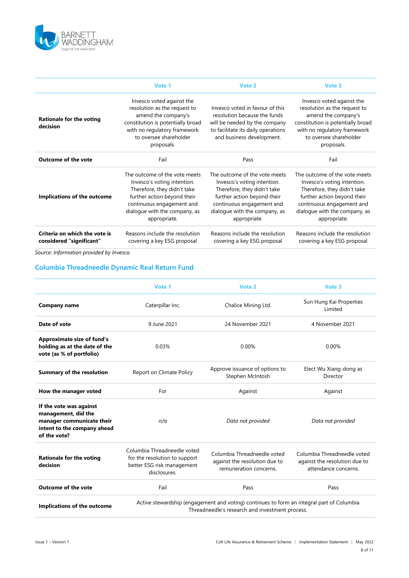

|                                                           | Vote 1                                                                                                                                                                                                   | Vote 2                                                                                                                                                                                                   | Vote 3                                                                                                                                                                                                   |
|-----------------------------------------------------------|----------------------------------------------------------------------------------------------------------------------------------------------------------------------------------------------------------|----------------------------------------------------------------------------------------------------------------------------------------------------------------------------------------------------------|----------------------------------------------------------------------------------------------------------------------------------------------------------------------------------------------------------|
| <b>Rationale for the voting</b><br>decision               | Invesco voted against the<br>resolution as the request to<br>amend the company's<br>constitution is potentially broad<br>with no regulatory framework<br>to oversee shareholder<br>proposals.            | Invesco voted in favour of this<br>resolution because the funds<br>will be needed by the company<br>to facilitate its daily operations<br>and business development.                                      | Invesco voted against the<br>resolution as the request to<br>amend the company's<br>constitution is potentially broad<br>with no regulatory framework<br>to oversee shareholder<br>proposals.            |
| <b>Outcome of the vote</b>                                | Fail                                                                                                                                                                                                     | Pass                                                                                                                                                                                                     | Fail                                                                                                                                                                                                     |
| Implications of the outcome                               | The outcome of the vote meets<br>Invesco's voting intention.<br>Therefore, they didn't take<br>further action beyond their<br>continuous engagement and<br>dialogue with the company, as<br>appropriate. | The outcome of the vote meets<br>Invesco's voting intention.<br>Therefore, they didn't take<br>further action beyond their<br>continuous engagement and<br>dialogue with the company, as<br>appropriate. | The outcome of the vote meets<br>Invesco's voting intention.<br>Therefore, they didn't take<br>further action beyond their<br>continuous engagement and<br>dialogue with the company, as<br>appropriate. |
| Criteria on which the vote is<br>considered "significant" | Reasons include the resolution<br>covering a key ESG proposal                                                                                                                                            | Reasons include the resolution<br>covering a key ESG proposal                                                                                                                                            | Reasons include the resolution<br>covering a key ESG proposal                                                                                                                                            |

*Source: Information provided by Invesco.*

## **Columbia Threadneedle Dynamic Real Return Fund**

|                                                                                                                            | Vote 1                                                                                                     | Vote 2                                                                                                                                       | Vote 3                                                                               |
|----------------------------------------------------------------------------------------------------------------------------|------------------------------------------------------------------------------------------------------------|----------------------------------------------------------------------------------------------------------------------------------------------|--------------------------------------------------------------------------------------|
| <b>Company name</b>                                                                                                        | Caterpillar Inc.                                                                                           | Chalice Mining Ltd.                                                                                                                          | Sun Hung Kai Properties<br>Limited                                                   |
| Date of vote                                                                                                               | 9 June 2021                                                                                                | 24 November 2021                                                                                                                             | 4 November 2021                                                                      |
| <b>Approximate size of fund's</b><br>holding as at the date of the<br>vote (as % of portfolio)                             | 0.03%                                                                                                      | 0.00%                                                                                                                                        | 0.00%                                                                                |
| <b>Summary of the resolution</b>                                                                                           | Report on Climate Policy                                                                                   | Approve issuance of options to<br>Stephen McIntosh                                                                                           | Elect Wu Xiang-dong as<br>Director                                                   |
| How the manager voted                                                                                                      | For                                                                                                        | Against                                                                                                                                      | Against                                                                              |
| If the vote was against<br>management, did the<br>manager communicate their<br>intent to the company ahead<br>of the vote? | n/a                                                                                                        | Data not provided                                                                                                                            | Data not provided                                                                    |
| <b>Rationale for the voting</b><br>decision                                                                                | Columbia Threadneedle voted<br>for the resolution to support<br>better ESG risk management<br>disclosures. | Columbia Threadneedle voted<br>against the resolution due to<br>remuneration concerns.                                                       | Columbia Threadneedle voted<br>against the resolution due to<br>attendance concerns. |
| <b>Outcome of the vote</b>                                                                                                 | Fail                                                                                                       | Pass                                                                                                                                         | Pass                                                                                 |
| Implications of the outcome                                                                                                |                                                                                                            | Active stewardship (engagement and voting) continues to form an integral part of Columbia<br>Threadneedle's research and investment process. |                                                                                      |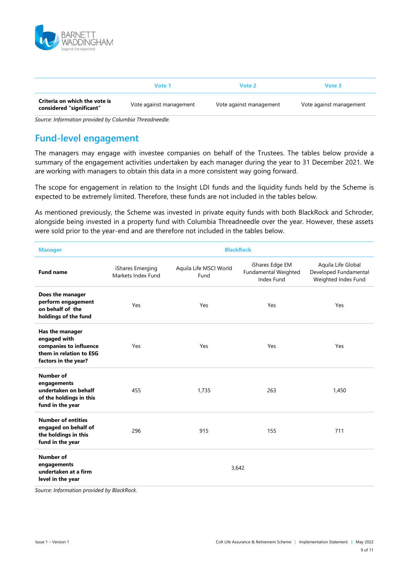

|                                                           | Vote 1                  | Vote 2                  | Vote 3                  |
|-----------------------------------------------------------|-------------------------|-------------------------|-------------------------|
| Criteria on which the vote is<br>considered "significant" | Vote against management | Vote against management | Vote against management |

*Source: Information provided by Columbia Threadneedle.*

# **Fund-level engagement**

The managers may engage with investee companies on behalf of the Trustees. The tables below provide a summary of the engagement activities undertaken by each manager during the year to 31 December 2021. We are working with managers to obtain this data in a more consistent way going forward.

The scope for engagement in relation to the Insight LDI funds and the liquidity funds held by the Scheme is expected to be extremely limited. Therefore, these funds are not included in the tables below.

As mentioned previously, the Scheme was invested in private equity funds with both BlackRock and Schroder, alongside being invested in a property fund with Columbia Threadneedle over the year. However, these assets were sold prior to the year-end and are therefore not included in the tables below.

| <b>Manager</b>                                                                                               | <b>BlackRock</b>                       |                                |                                                       |                                                                    |  |  |
|--------------------------------------------------------------------------------------------------------------|----------------------------------------|--------------------------------|-------------------------------------------------------|--------------------------------------------------------------------|--|--|
| <b>Fund name</b>                                                                                             | iShares Emerging<br>Markets Index Fund | Aquila Life MSCI World<br>Fund | iShares Edge EM<br>Fundamental Weighted<br>Index Fund | Aquila Life Global<br>Developed Fundamental<br>Weighted Index Fund |  |  |
| Does the manager<br>perform engagement<br>on behalf of the<br>holdings of the fund                           | Yes                                    | Yes                            | Yes                                                   | Yes                                                                |  |  |
| Has the manager<br>engaged with<br>companies to influence<br>them in relation to ESG<br>factors in the year? | Yes                                    | Yes                            | Yes                                                   | Yes                                                                |  |  |
| <b>Number of</b><br>engagements<br>undertaken on behalf<br>of the holdings in this<br>fund in the year       | 455                                    | 1.735                          | 263                                                   | 1,450                                                              |  |  |
| <b>Number of entities</b><br>engaged on behalf of<br>the holdings in this<br>fund in the year                | 296                                    | 915                            | 155                                                   | 711                                                                |  |  |
| <b>Number of</b><br>engagements<br>undertaken at a firm<br>level in the year                                 |                                        |                                | 3,642                                                 |                                                                    |  |  |

*Source: Information provided by BlackRock.*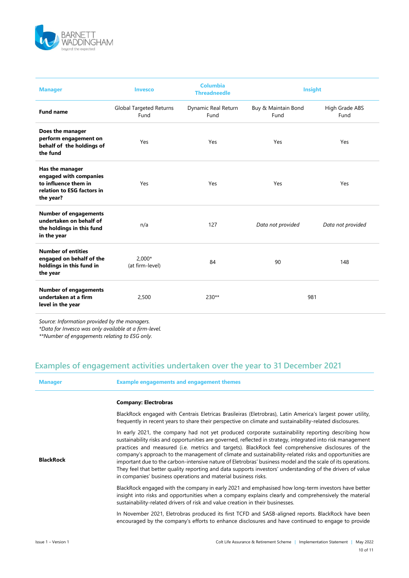

| <b>Manager</b>                                                                                               | <b>Invesco</b>                  | <b>Columbia</b><br><b>Threadneedle</b> | <b>Insight</b>              |                        |
|--------------------------------------------------------------------------------------------------------------|---------------------------------|----------------------------------------|-----------------------------|------------------------|
| <b>Fund name</b>                                                                                             | Global Targeted Returns<br>Fund | Dynamic Real Return<br>Fund            | Buy & Maintain Bond<br>Fund | High Grade ABS<br>Fund |
| Does the manager<br>perform engagement on<br>behalf of the holdings of<br>the fund                           | Yes                             | Yes                                    | Yes                         | Yes                    |
| Has the manager<br>engaged with companies<br>to influence them in<br>relation to ESG factors in<br>the year? | Yes                             | Yes                                    | Yes                         | Yes                    |
| <b>Number of engagements</b><br>undertaken on behalf of<br>the holdings in this fund<br>in the year          | n/a                             | 127                                    | Data not provided           | Data not provided      |
| <b>Number of entities</b><br>engaged on behalf of the<br>holdings in this fund in<br>the year                | $2.000*$<br>(at firm-level)     | 84                                     | 90                          | 148                    |
| <b>Number of engagements</b><br>undertaken at a firm<br>level in the year                                    | 2,500                           | 230**                                  | 981                         |                        |

*Source: Information provided by the managers.*

*\*Data for Invesco was only available at a firm-level.* 

*\*\*Number of engagements relating to ESG only.*

# **Examples of engagement activities undertaken over the year to 31 December 2021**

| <b>Manager</b>   | <b>Example engagements and engagement themes</b>                                                                                                                                                                                                                                                                                                                                                                                                                                                                                                                                                                                                                                                                                |
|------------------|---------------------------------------------------------------------------------------------------------------------------------------------------------------------------------------------------------------------------------------------------------------------------------------------------------------------------------------------------------------------------------------------------------------------------------------------------------------------------------------------------------------------------------------------------------------------------------------------------------------------------------------------------------------------------------------------------------------------------------|
|                  | <b>Company: Electrobras</b>                                                                                                                                                                                                                                                                                                                                                                                                                                                                                                                                                                                                                                                                                                     |
| <b>BlackRock</b> | BlackRock engaged with Centrais Eletricas Brasileiras (Eletrobras), Latin America's largest power utility,<br>frequently in recent years to share their perspective on climate and sustainability-related disclosures.                                                                                                                                                                                                                                                                                                                                                                                                                                                                                                          |
|                  | In early 2021, the company had not yet produced corporate sustainability reporting describing how<br>sustainability risks and opportunities are governed, reflected in strategy, integrated into risk management<br>practices and measured (i.e. metrics and targets). BlackRock feel comprehensive disclosures of the<br>company's approach to the management of climate and sustainability-related risks and opportunities are<br>important due to the carbon-intensive nature of Eletrobras' business model and the scale of its operations.<br>They feel that better quality reporting and data supports investors' understanding of the drivers of value<br>in companies' business operations and material business risks. |
|                  | BlackRock engaged with the company in early 2021 and emphasised how long-term investors have better<br>insight into risks and opportunities when a company explains clearly and comprehensively the material<br>sustainability-related drivers of risk and value creation in their businesses.                                                                                                                                                                                                                                                                                                                                                                                                                                  |
|                  | In November 2021, Eletrobras produced its first TCFD and SASB-aligned reports. BlackRock have been<br>encouraged by the company's efforts to enhance disclosures and have continued to engage to provide                                                                                                                                                                                                                                                                                                                                                                                                                                                                                                                        |